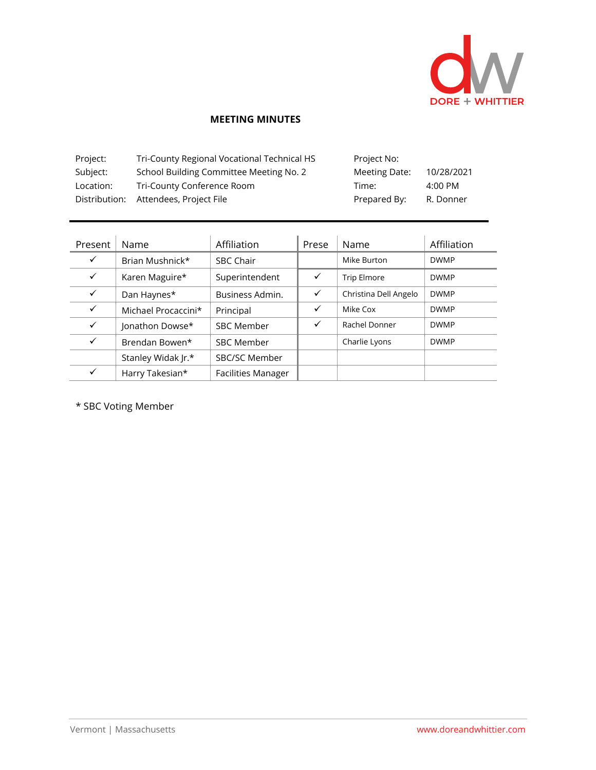

## **MEETING MINUTES**

| Project:  | Tri-County Regional Vocational Technical HS | Project No:   |            |
|-----------|---------------------------------------------|---------------|------------|
| Subject:  | School Building Committee Meeting No. 2     | Meeting Date: | 10/28/2021 |
| Location: | Tri-County Conference Room                  | Time:         | 4:00 PM    |
|           | Distribution: Attendees, Project File       | Prepared By:  | R. Donner  |

| Present      | Name                | Affiliation               | Prese | Name                  | Affiliation |
|--------------|---------------------|---------------------------|-------|-----------------------|-------------|
| $\checkmark$ | Brian Mushnick*     | <b>SBC Chair</b>          |       | Mike Burton           | <b>DWMP</b> |
| $\checkmark$ | Karen Maguire*      | Superintendent            | ✓     | Trip Elmore           | <b>DWMP</b> |
| ✓            | Dan Haynes*         | Business Admin.           | ✓     | Christina Dell Angelo | <b>DWMP</b> |
| ✓            | Michael Procaccini* | Principal                 | ✓     | Mike Cox              | <b>DWMP</b> |
| $\checkmark$ | Jonathon Dowse*     | <b>SBC Member</b>         | ✓     | Rachel Donner         | <b>DWMP</b> |
| ✓            | Brendan Bowen*      | <b>SBC Member</b>         |       | Charlie Lyons         | <b>DWMP</b> |
|              | Stanley Widak Jr.*  | <b>SBC/SC Member</b>      |       |                       |             |
|              | Harry Takesian*     | <b>Facilities Manager</b> |       |                       |             |

\* SBC Voting Member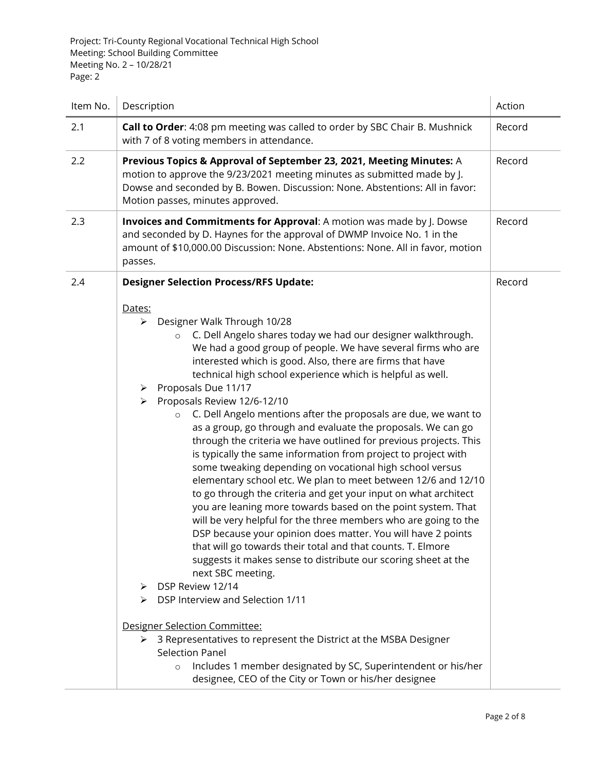| Item No. | Description                                                                                                                                                                                                                                                                                                                                                                                                                                                                                                                                                                                                                                                                                                                                                                                                                                                                                                                                                                                                                                                                                                                                                                                                                                                                                                                                                                                                                                                                                                                                         | Action |
|----------|-----------------------------------------------------------------------------------------------------------------------------------------------------------------------------------------------------------------------------------------------------------------------------------------------------------------------------------------------------------------------------------------------------------------------------------------------------------------------------------------------------------------------------------------------------------------------------------------------------------------------------------------------------------------------------------------------------------------------------------------------------------------------------------------------------------------------------------------------------------------------------------------------------------------------------------------------------------------------------------------------------------------------------------------------------------------------------------------------------------------------------------------------------------------------------------------------------------------------------------------------------------------------------------------------------------------------------------------------------------------------------------------------------------------------------------------------------------------------------------------------------------------------------------------------------|--------|
| 2.1      | Call to Order: 4:08 pm meeting was called to order by SBC Chair B. Mushnick<br>with 7 of 8 voting members in attendance.                                                                                                                                                                                                                                                                                                                                                                                                                                                                                                                                                                                                                                                                                                                                                                                                                                                                                                                                                                                                                                                                                                                                                                                                                                                                                                                                                                                                                            | Record |
| 2.2      | Previous Topics & Approval of September 23, 2021, Meeting Minutes: A<br>motion to approve the 9/23/2021 meeting minutes as submitted made by J.<br>Dowse and seconded by B. Bowen. Discussion: None. Abstentions: All in favor:<br>Motion passes, minutes approved.                                                                                                                                                                                                                                                                                                                                                                                                                                                                                                                                                                                                                                                                                                                                                                                                                                                                                                                                                                                                                                                                                                                                                                                                                                                                                 |        |
| 2.3      | Invoices and Commitments for Approval: A motion was made by J. Dowse<br>and seconded by D. Haynes for the approval of DWMP Invoice No. 1 in the<br>amount of \$10,000.00 Discussion: None. Abstentions: None. All in favor, motion<br>passes.                                                                                                                                                                                                                                                                                                                                                                                                                                                                                                                                                                                                                                                                                                                                                                                                                                                                                                                                                                                                                                                                                                                                                                                                                                                                                                       |        |
| 2.4      | <b>Designer Selection Process/RFS Update:</b>                                                                                                                                                                                                                                                                                                                                                                                                                                                                                                                                                                                                                                                                                                                                                                                                                                                                                                                                                                                                                                                                                                                                                                                                                                                                                                                                                                                                                                                                                                       | Record |
|          | Dates:<br>Designer Walk Through 10/28<br>➤<br>C. Dell Angelo shares today we had our designer walkthrough.<br>$\circ$<br>We had a good group of people. We have several firms who are<br>interested which is good. Also, there are firms that have<br>technical high school experience which is helpful as well.<br>Proposals Due 11/17<br>➤<br>Proposals Review 12/6-12/10<br>➤<br>C. Dell Angelo mentions after the proposals are due, we want to<br>as a group, go through and evaluate the proposals. We can go<br>through the criteria we have outlined for previous projects. This<br>is typically the same information from project to project with<br>some tweaking depending on vocational high school versus<br>elementary school etc. We plan to meet between 12/6 and 12/10<br>to go through the criteria and get your input on what architect<br>you are leaning more towards based on the point system. That<br>will be very helpful for the three members who are going to the<br>DSP because your opinion does matter. You will have 2 points<br>that will go towards their total and that counts. T. Elmore<br>suggests it makes sense to distribute our scoring sheet at the<br>next SBC meeting.<br>DSP Review 12/14<br>⋗<br>DSP Interview and Selection 1/11<br>➤<br>Designer Selection Committee:<br>3 Representatives to represent the District at the MSBA Designer<br>➤<br><b>Selection Panel</b><br>Includes 1 member designated by SC, Superintendent or his/her<br>designee, CEO of the City or Town or his/her designee |        |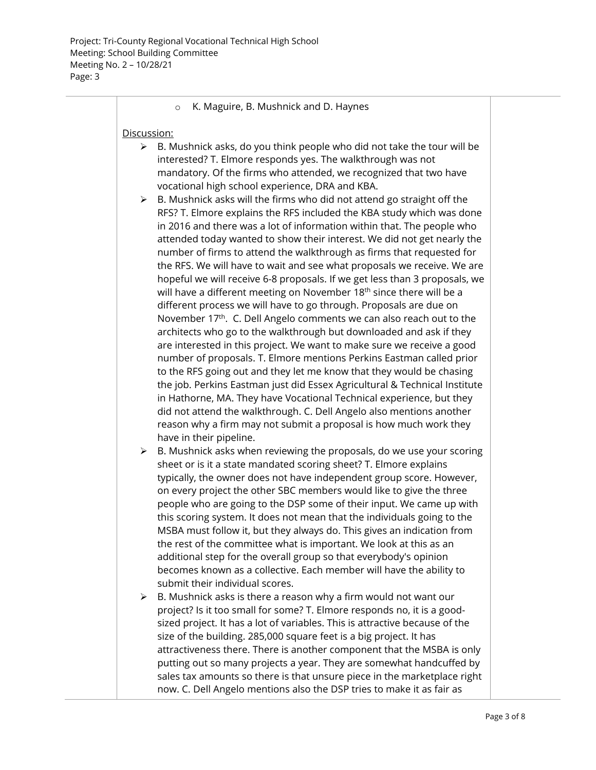## o K. Maguire, B. Mushnick and D. Haynes

## Discussion:

- $\triangleright$  B. Mushnick asks, do you think people who did not take the tour will be interested? T. Elmore responds yes. The walkthrough was not mandatory. Of the firms who attended, we recognized that two have vocational high school experience, DRA and KBA.
- $\triangleright$  B. Mushnick asks will the firms who did not attend go straight off the RFS? T. Elmore explains the RFS included the KBA study which was done in 2016 and there was a lot of information within that. The people who attended today wanted to show their interest. We did not get nearly the number of firms to attend the walkthrough as firms that requested for the RFS. We will have to wait and see what proposals we receive. We are hopeful we will receive 6-8 proposals. If we get less than 3 proposals, we will have a different meeting on November  $18<sup>th</sup>$  since there will be a different process we will have to go through. Proposals are due on November 17<sup>th</sup>. C. Dell Angelo comments we can also reach out to the architects who go to the walkthrough but downloaded and ask if they are interested in this project. We want to make sure we receive a good number of proposals. T. Elmore mentions Perkins Eastman called prior to the RFS going out and they let me know that they would be chasing the job. Perkins Eastman just did Essex Agricultural & Technical Institute in Hathorne, MA. They have Vocational Technical experience, but they did not attend the walkthrough. C. Dell Angelo also mentions another reason why a firm may not submit a proposal is how much work they have in their pipeline.
- $\triangleright$  B. Mushnick asks when reviewing the proposals, do we use your scoring sheet or is it a state mandated scoring sheet? T. Elmore explains typically, the owner does not have independent group score. However, on every project the other SBC members would like to give the three people who are going to the DSP some of their input. We came up with this scoring system. It does not mean that the individuals going to the MSBA must follow it, but they always do. This gives an indication from the rest of the committee what is important. We look at this as an additional step for the overall group so that everybody's opinion becomes known as a collective. Each member will have the ability to submit their individual scores.
- $\triangleright$  B. Mushnick asks is there a reason why a firm would not want our project? Is it too small for some? T. Elmore responds no, it is a goodsized project. It has a lot of variables. This is attractive because of the size of the building. 285,000 square feet is a big project. It has attractiveness there. There is another component that the MSBA is only putting out so many projects a year. They are somewhat handcuffed by sales tax amounts so there is that unsure piece in the marketplace right now. C. Dell Angelo mentions also the DSP tries to make it as fair as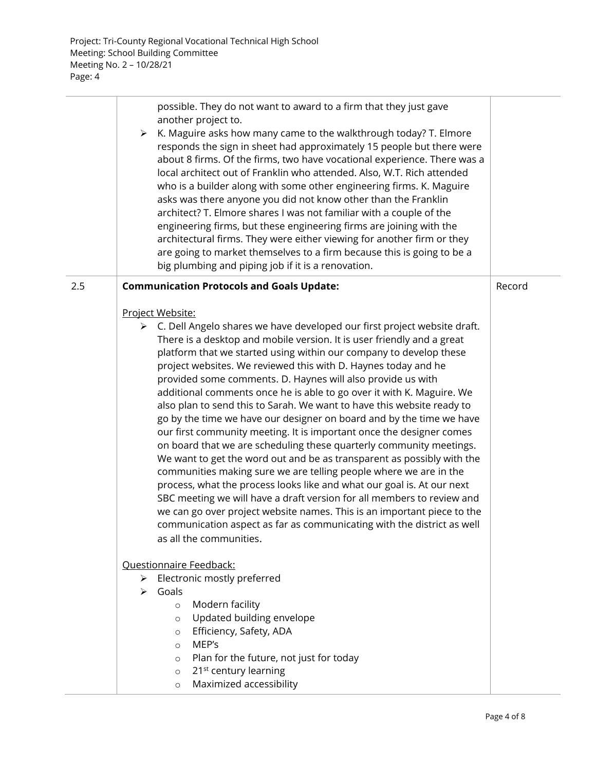$\overline{\phantom{a}}$ 

|     | possible. They do not want to award to a firm that they just gave<br>another project to.<br>K. Maguire asks how many came to the walkthrough today? T. Elmore<br>➤<br>responds the sign in sheet had approximately 15 people but there were<br>about 8 firms. Of the firms, two have vocational experience. There was a<br>local architect out of Franklin who attended. Also, W.T. Rich attended<br>who is a builder along with some other engineering firms. K. Maguire<br>asks was there anyone you did not know other than the Franklin<br>architect? T. Elmore shares I was not familiar with a couple of the<br>engineering firms, but these engineering firms are joining with the<br>architectural firms. They were either viewing for another firm or they<br>are going to market themselves to a firm because this is going to be a<br>big plumbing and piping job if it is a renovation.                                                                                                                                                                                                                                                                                                                                                         |        |
|-----|-------------------------------------------------------------------------------------------------------------------------------------------------------------------------------------------------------------------------------------------------------------------------------------------------------------------------------------------------------------------------------------------------------------------------------------------------------------------------------------------------------------------------------------------------------------------------------------------------------------------------------------------------------------------------------------------------------------------------------------------------------------------------------------------------------------------------------------------------------------------------------------------------------------------------------------------------------------------------------------------------------------------------------------------------------------------------------------------------------------------------------------------------------------------------------------------------------------------------------------------------------------|--------|
| 2.5 | <b>Communication Protocols and Goals Update:</b>                                                                                                                                                                                                                                                                                                                                                                                                                                                                                                                                                                                                                                                                                                                                                                                                                                                                                                                                                                                                                                                                                                                                                                                                            | Record |
|     | Project Website:<br>$\triangleright$ C. Dell Angelo shares we have developed our first project website draft.<br>There is a desktop and mobile version. It is user friendly and a great<br>platform that we started using within our company to develop these<br>project websites. We reviewed this with D. Haynes today and he<br>provided some comments. D. Haynes will also provide us with<br>additional comments once he is able to go over it with K. Maguire. We<br>also plan to send this to Sarah. We want to have this website ready to<br>go by the time we have our designer on board and by the time we have<br>our first community meeting. It is important once the designer comes<br>on board that we are scheduling these quarterly community meetings.<br>We want to get the word out and be as transparent as possibly with the<br>communities making sure we are telling people where we are in the<br>process, what the process looks like and what our goal is. At our next<br>SBC meeting we will have a draft version for all members to review and<br>we can go over project website names. This is an important piece to the<br>communication aspect as far as communicating with the district as well<br>as all the communities. |        |
|     | Questionnaire Feedback:                                                                                                                                                                                                                                                                                                                                                                                                                                                                                                                                                                                                                                                                                                                                                                                                                                                                                                                                                                                                                                                                                                                                                                                                                                     |        |
|     | Electronic mostly preferred<br>≻                                                                                                                                                                                                                                                                                                                                                                                                                                                                                                                                                                                                                                                                                                                                                                                                                                                                                                                                                                                                                                                                                                                                                                                                                            |        |
|     | Goals<br>➤                                                                                                                                                                                                                                                                                                                                                                                                                                                                                                                                                                                                                                                                                                                                                                                                                                                                                                                                                                                                                                                                                                                                                                                                                                                  |        |
|     | Modern facility<br>$\circ$                                                                                                                                                                                                                                                                                                                                                                                                                                                                                                                                                                                                                                                                                                                                                                                                                                                                                                                                                                                                                                                                                                                                                                                                                                  |        |
|     | Updated building envelope<br>$\circ$                                                                                                                                                                                                                                                                                                                                                                                                                                                                                                                                                                                                                                                                                                                                                                                                                                                                                                                                                                                                                                                                                                                                                                                                                        |        |
|     | Efficiency, Safety, ADA<br>$\circ$<br>MEP's                                                                                                                                                                                                                                                                                                                                                                                                                                                                                                                                                                                                                                                                                                                                                                                                                                                                                                                                                                                                                                                                                                                                                                                                                 |        |
|     | $\circ$<br>Plan for the future, not just for today<br>$\circ$                                                                                                                                                                                                                                                                                                                                                                                                                                                                                                                                                                                                                                                                                                                                                                                                                                                                                                                                                                                                                                                                                                                                                                                               |        |
|     | 21 <sup>st</sup> century learning<br>$\circ$                                                                                                                                                                                                                                                                                                                                                                                                                                                                                                                                                                                                                                                                                                                                                                                                                                                                                                                                                                                                                                                                                                                                                                                                                |        |
|     | Maximized accessibility<br>$\circ$                                                                                                                                                                                                                                                                                                                                                                                                                                                                                                                                                                                                                                                                                                                                                                                                                                                                                                                                                                                                                                                                                                                                                                                                                          |        |
|     |                                                                                                                                                                                                                                                                                                                                                                                                                                                                                                                                                                                                                                                                                                                                                                                                                                                                                                                                                                                                                                                                                                                                                                                                                                                             |        |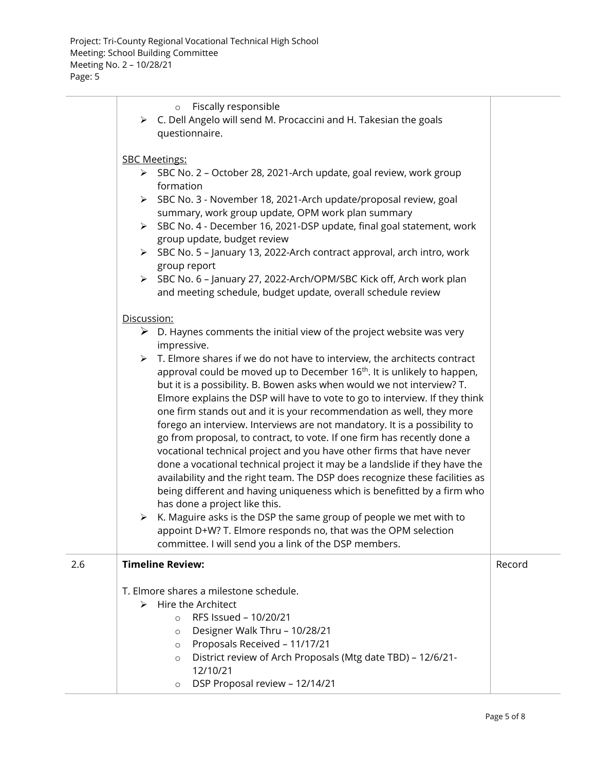|     | Fiscally responsible<br>$\circ$<br>$\triangleright$ C. Dell Angelo will send M. Procaccini and H. Takesian the goals<br>questionnaire.                                                                                                                                                                                                                                                                                                                                                                                                                                                                                                                                                                                                                                                                                                                                                                                                                                                                                                                                                                                            |        |
|-----|-----------------------------------------------------------------------------------------------------------------------------------------------------------------------------------------------------------------------------------------------------------------------------------------------------------------------------------------------------------------------------------------------------------------------------------------------------------------------------------------------------------------------------------------------------------------------------------------------------------------------------------------------------------------------------------------------------------------------------------------------------------------------------------------------------------------------------------------------------------------------------------------------------------------------------------------------------------------------------------------------------------------------------------------------------------------------------------------------------------------------------------|--------|
|     |                                                                                                                                                                                                                                                                                                                                                                                                                                                                                                                                                                                                                                                                                                                                                                                                                                                                                                                                                                                                                                                                                                                                   |        |
|     | <b>SBC Meetings:</b>                                                                                                                                                                                                                                                                                                                                                                                                                                                                                                                                                                                                                                                                                                                                                                                                                                                                                                                                                                                                                                                                                                              |        |
|     | > SBC No. 2 - October 28, 2021-Arch update, goal review, work group<br>formation                                                                                                                                                                                                                                                                                                                                                                                                                                                                                                                                                                                                                                                                                                                                                                                                                                                                                                                                                                                                                                                  |        |
|     | > SBC No. 3 - November 18, 2021-Arch update/proposal review, goal<br>summary, work group update, OPM work plan summary                                                                                                                                                                                                                                                                                                                                                                                                                                                                                                                                                                                                                                                                                                                                                                                                                                                                                                                                                                                                            |        |
|     | > SBC No. 4 - December 16, 2021-DSP update, final goal statement, work<br>group update, budget review                                                                                                                                                                                                                                                                                                                                                                                                                                                                                                                                                                                                                                                                                                                                                                                                                                                                                                                                                                                                                             |        |
|     | > SBC No. 5 - January 13, 2022-Arch contract approval, arch intro, work                                                                                                                                                                                                                                                                                                                                                                                                                                                                                                                                                                                                                                                                                                                                                                                                                                                                                                                                                                                                                                                           |        |
|     | group report                                                                                                                                                                                                                                                                                                                                                                                                                                                                                                                                                                                                                                                                                                                                                                                                                                                                                                                                                                                                                                                                                                                      |        |
|     | > SBC No. 6 - January 27, 2022-Arch/OPM/SBC Kick off, Arch work plan<br>and meeting schedule, budget update, overall schedule review                                                                                                                                                                                                                                                                                                                                                                                                                                                                                                                                                                                                                                                                                                                                                                                                                                                                                                                                                                                              |        |
|     | Discussion:                                                                                                                                                                                                                                                                                                                                                                                                                                                                                                                                                                                                                                                                                                                                                                                                                                                                                                                                                                                                                                                                                                                       |        |
|     | $\triangleright$ D. Haynes comments the initial view of the project website was very                                                                                                                                                                                                                                                                                                                                                                                                                                                                                                                                                                                                                                                                                                                                                                                                                                                                                                                                                                                                                                              |        |
|     | impressive.                                                                                                                                                                                                                                                                                                                                                                                                                                                                                                                                                                                                                                                                                                                                                                                                                                                                                                                                                                                                                                                                                                                       |        |
|     | $\triangleright$ T. Elmore shares if we do not have to interview, the architects contract<br>approval could be moved up to December 16 <sup>th</sup> . It is unlikely to happen,<br>but it is a possibility. B. Bowen asks when would we not interview? T.<br>Elmore explains the DSP will have to vote to go to interview. If they think<br>one firm stands out and it is your recommendation as well, they more<br>forego an interview. Interviews are not mandatory. It is a possibility to<br>go from proposal, to contract, to vote. If one firm has recently done a<br>vocational technical project and you have other firms that have never<br>done a vocational technical project it may be a landslide if they have the<br>availability and the right team. The DSP does recognize these facilities as<br>being different and having uniqueness which is benefitted by a firm who<br>has done a project like this.<br>K. Maguire asks is the DSP the same group of people we met with to<br>≻<br>appoint D+W? T. Elmore responds no, that was the OPM selection<br>committee. I will send you a link of the DSP members. |        |
| 2.6 | <b>Timeline Review:</b>                                                                                                                                                                                                                                                                                                                                                                                                                                                                                                                                                                                                                                                                                                                                                                                                                                                                                                                                                                                                                                                                                                           | Record |
|     | T. Elmore shares a milestone schedule.<br>Hire the Architect<br>➤<br>RFS Issued - 10/20/21<br>$\Omega$<br>Designer Walk Thru - 10/28/21<br>$\circ$<br>Proposals Received - 11/17/21<br>$\circ$<br>District review of Arch Proposals (Mtg date TBD) - 12/6/21-<br>$\circ$                                                                                                                                                                                                                                                                                                                                                                                                                                                                                                                                                                                                                                                                                                                                                                                                                                                          |        |
|     | 12/10/21<br>DSP Proposal review - 12/14/21<br>$\circ$                                                                                                                                                                                                                                                                                                                                                                                                                                                                                                                                                                                                                                                                                                                                                                                                                                                                                                                                                                                                                                                                             |        |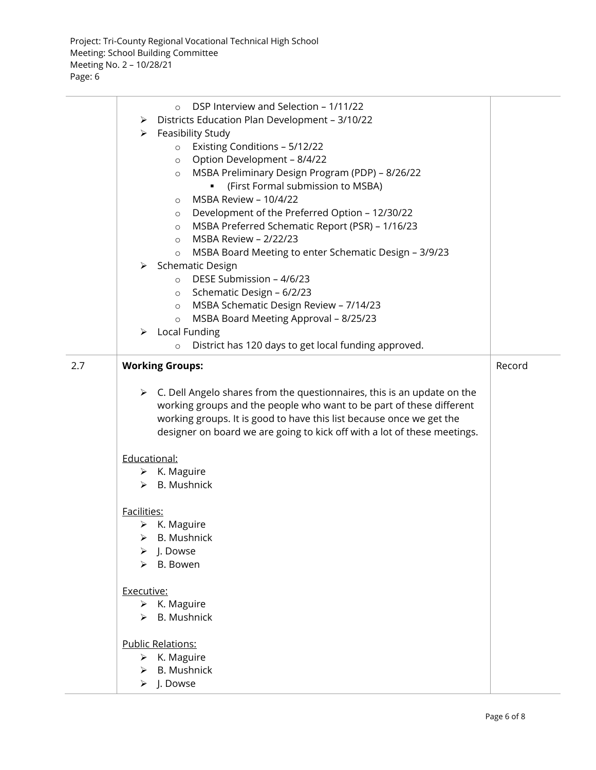|     | DSP Interview and Selection - 1/11/22<br>$\circ$<br>Districts Education Plan Development - 3/10/22<br>≻<br>Feasibility Study<br>≻<br>Existing Conditions - 5/12/22<br>$\circ$<br>Option Development - 8/4/22<br>$\circ$<br>MSBA Preliminary Design Program (PDP) - 8/26/22<br>$\circ$<br>(First Formal submission to MSBA)<br>MSBA Review - 10/4/22<br>$\circ$<br>Development of the Preferred Option - 12/30/22<br>$\circ$<br>MSBA Preferred Schematic Report (PSR) - 1/16/23<br>$\circ$<br>MSBA Review - 2/22/23<br>$\circ$<br>MSBA Board Meeting to enter Schematic Design - 3/9/23<br>$\circ$ |        |
|-----|---------------------------------------------------------------------------------------------------------------------------------------------------------------------------------------------------------------------------------------------------------------------------------------------------------------------------------------------------------------------------------------------------------------------------------------------------------------------------------------------------------------------------------------------------------------------------------------------------|--------|
|     | > Schematic Design<br>DESE Submission - 4/6/23<br>$\Omega$<br>Schematic Design - 6/2/23<br>$\circ$<br>MSBA Schematic Design Review - 7/14/23<br>$\circ$<br>MSBA Board Meeting Approval - 8/25/23<br>$\circ$<br>$\triangleright$ Local Funding<br>District has 120 days to get local funding approved.<br>$\circ$                                                                                                                                                                                                                                                                                  |        |
| 2.7 | <b>Working Groups:</b><br>$\triangleright$ C. Dell Angelo shares from the questionnaires, this is an update on the<br>working groups and the people who want to be part of these different<br>working groups. It is good to have this list because once we get the<br>designer on board we are going to kick off with a lot of these meetings.                                                                                                                                                                                                                                                    | Record |
|     | Educational:<br>$\triangleright$ K. Maguire<br>$\triangleright$ B. Mushnick<br>Facilities:<br>$\triangleright$ K. Maguire<br><b>B.</b> Mushnick<br>J. Dowse<br>B. Bowen<br>≻                                                                                                                                                                                                                                                                                                                                                                                                                      |        |
|     | Executive:<br>K. Maguire<br>≻<br><b>B.</b> Mushnick<br>≻<br><b>Public Relations:</b><br>$\triangleright$ K. Maguire<br>$\triangleright$ B. Mushnick<br>$\triangleright$ J. Dowse                                                                                                                                                                                                                                                                                                                                                                                                                  |        |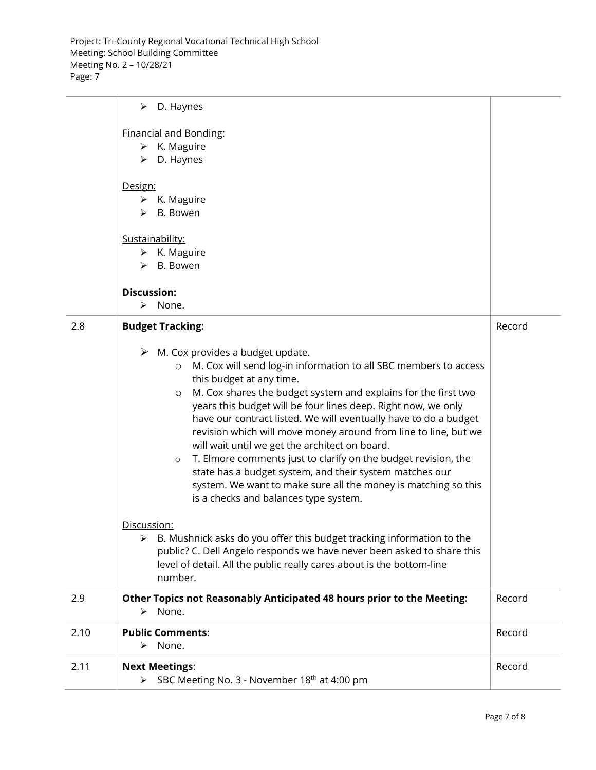Project: Tri-County Regional Vocational Technical High School Meeting: School Building Committee Meeting No. 2 – 10/28/21 Page: 7

|      | D. Haynes<br>➤                                                              |        |
|------|-----------------------------------------------------------------------------|--------|
|      | <b>Financial and Bonding:</b>                                               |        |
|      | $\triangleright$ K. Maguire                                                 |        |
|      | D. Haynes<br>➤                                                              |        |
|      |                                                                             |        |
|      | Design:                                                                     |        |
|      | $\triangleright$ K. Maguire                                                 |        |
|      | B. Bowen<br>➤                                                               |        |
|      |                                                                             |        |
|      | Sustainability:                                                             |        |
|      | $\triangleright$ K. Maguire                                                 |        |
|      | $\triangleright$ B. Bowen                                                   |        |
|      |                                                                             |        |
|      | <b>Discussion:</b>                                                          |        |
|      | None.<br>⋗                                                                  |        |
| 2.8  | <b>Budget Tracking:</b>                                                     | Record |
|      |                                                                             |        |
|      | $\triangleright$ M. Cox provides a budget update.                           |        |
|      | M. Cox will send log-in information to all SBC members to access<br>$\circ$ |        |
|      | this budget at any time.                                                    |        |
|      | M. Cox shares the budget system and explains for the first two<br>$\circ$   |        |
|      | years this budget will be four lines deep. Right now, we only               |        |
|      | have our contract listed. We will eventually have to do a budget            |        |
|      | revision which will move money around from line to line, but we             |        |
|      | will wait until we get the architect on board.                              |        |
|      | T. Elmore comments just to clarify on the budget revision, the<br>$\circ$   |        |
|      | state has a budget system, and their system matches our                     |        |
|      | system. We want to make sure all the money is matching so this              |        |
|      | is a checks and balances type system.                                       |        |
|      |                                                                             |        |
|      | Discussion:                                                                 |        |
|      | B. Mushnick asks do you offer this budget tracking information to the<br>➤  |        |
|      | public? C. Dell Angelo responds we have never been asked to share this      |        |
|      | level of detail. All the public really cares about is the bottom-line       |        |
|      | number.                                                                     |        |
| 2.9  | Other Topics not Reasonably Anticipated 48 hours prior to the Meeting:      | Record |
|      | None.<br>➤                                                                  |        |
| 2.10 | <b>Public Comments:</b>                                                     | Record |
|      | None.<br>➤                                                                  |        |
|      |                                                                             |        |
| 2.11 | <b>Next Meetings:</b>                                                       | Record |
|      | SBC Meeting No. 3 - November 18 <sup>th</sup> at 4:00 pm<br>➤               |        |